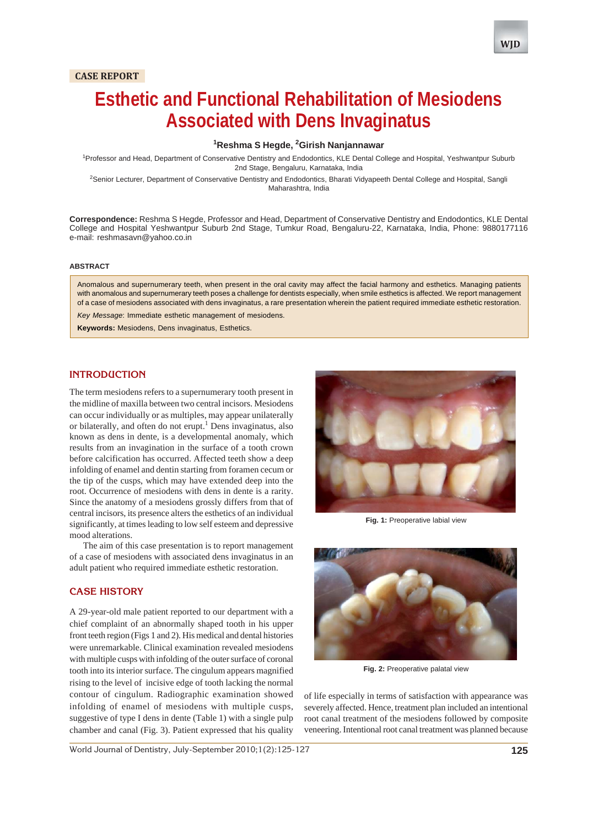# **CASE REPORT**



# **Esthetic and Functional Rehabilitation of Mesiodens Associated with Dens Invaginatus**

## **1 Reshma S Hegde, 2 Girish Nanjannawar**

<sup>1</sup> Professor and Head, Department of Conservative Dentistry and Endodontics, KLE Dental College and Hospital, Yeshwantpur Suburb 2nd Stage, Bengaluru, Karnataka, India

<sup>2</sup>Senior Lecturer, Department of Conservative Dentistry and Endodontics, Bharati Vidyapeeth Dental College and Hospital, Sangli Maharashtra, India

**Correspondence:** Reshma S Hegde, Professor and Head, Department of Conservative Dentistry and Endodontics, KLE Dental College and Hospital Yeshwantpur Suburb 2nd Stage, Tumkur Road, Bengaluru-22, Karnataka, India, Phone: 9880177116 e-mail: reshmasavn@yahoo.co.in

#### **ABSTRACT**

Anomalous and supernumerary teeth, when present in the oral cavity may affect the facial harmony and esthetics. Managing patients with anomalous and supernumerary teeth poses a challenge for dentists especially, when smile esthetics is affected. We report management of a case of mesiodens associated with dens invaginatus, a rare presentation wherein the patient required immediate esthetic restoration. *Key Message*: Immediate esthetic management of mesiodens.

**Keywords:** Mesiodens, Dens invaginatus, Esthetics.

## **INTRODUCTION**

The term mesiodens refers to a supernumerary tooth present in the midline of maxilla between two central incisors. Mesiodens can occur individually or as multiples, may appear unilaterally or bilaterally, and often do not erupt.<sup>1</sup> Dens invaginatus, also known as dens in dente, is a developmental anomaly, which results from an invagination in the surface of a tooth crown before calcification has occurred. Affected teeth show a deep infolding of enamel and dentin starting from foramen cecum or the tip of the cusps, which may have extended deep into the root. Occurrence of mesiodens with dens in dente is a rarity. Since the anatomy of a mesiodens grossly differs from that of central incisors, its presence alters the esthetics of an individual significantly, at times leading to low self esteem and depressive mood alterations.

The aim of this case presentation is to report management of a case of mesiodens with associated dens invaginatus in an adult patient who required immediate esthetic restoration.

#### **CASE HISTORY**

A 29-year-old male patient reported to our department with a chief complaint of an abnormally shaped tooth in his upper front teeth region (Figs 1 and 2). His medical and dental histories were unremarkable. Clinical examination revealed mesiodens with multiple cusps with infolding of the outer surface of coronal tooth into its interior surface. The cingulum appears magnified rising to the level of incisive edge of tooth lacking the normal contour of cingulum. Radiographic examination showed infolding of enamel of mesiodens with multiple cusps, suggestive of type I dens in dente (Table 1) with a single pulp chamber and canal (Fig. 3). Patient expressed that his quality



**Fig. 1:** Preoperative labial view



**Fig. 2:** Preoperative palatal view

of life especially in terms of satisfaction with appearance was severely affected. Hence, treatment plan included an intentional root canal treatment of the mesiodens followed by composite veneering. Intentional root canal treatment was planned because

World Journal of Dentistry, July-September 2010;1(2):125-127 **125**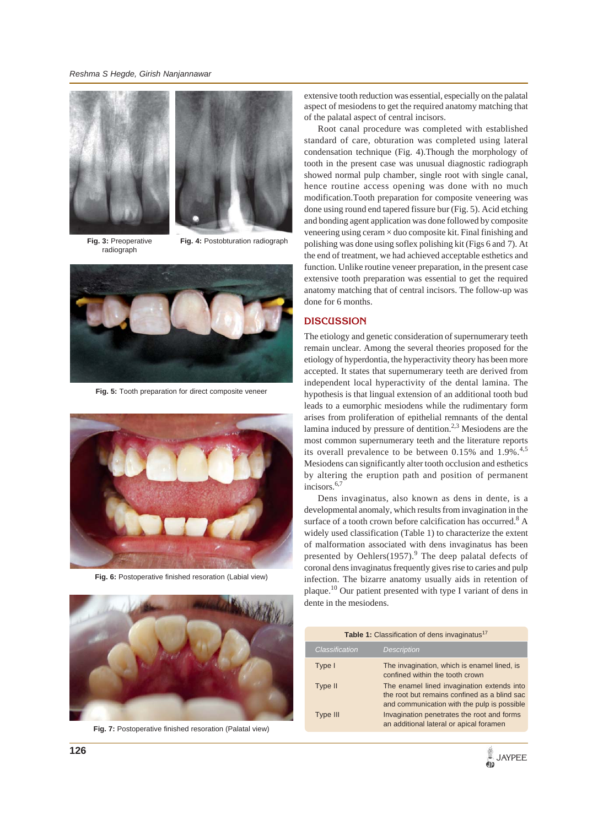*Reshma S Hegde, Girish Nanjannawar*





**Fig. 3:** Preoperative radiograph

**Fig. 4:** Postobturation radiograph



**Fig. 5:** Tooth preparation for direct composite veneer



**Fig. 6:** Postoperative finished resoration (Labial view)



**Fig. 7:** Postoperative finished resoration (Palatal view)

extensive tooth reduction was essential, especially on the palatal aspect of mesiodens to get the required anatomy matching that of the palatal aspect of central incisors.

Root canal procedure was completed with established standard of care, obturation was completed using lateral condensation technique (Fig. 4).Though the morphology of tooth in the present case was unusual diagnostic radiograph showed normal pulp chamber, single root with single canal, hence routine access opening was done with no much modification.Tooth preparation for composite veneering was done using round end tapered fissure bur (Fig. 5). Acid etching and bonding agent application was done followed by composite veneering using ceram × duo composite kit. Final finishing and polishing was done using soflex polishing kit (Figs 6 and 7). At the end of treatment, we had achieved acceptable esthetics and function. Unlike routine veneer preparation, in the present case extensive tooth preparation was essential to get the required anatomy matching that of central incisors. The follow-up was done for 6 months.

# **DISCUSSION**

The etiology and genetic consideration of supernumerary teeth remain unclear. Among the several theories proposed for the etiology of hyperdontia, the hyperactivity theory has been more accepted. It states that supernumerary teeth are derived from independent local hyperactivity of the dental lamina. The hypothesis is that lingual extension of an additional tooth bud leads to a eumorphic mesiodens while the rudimentary form arises from proliferation of epithelial remnants of the dental lamina induced by pressure of dentition.<sup>2,3</sup> Mesiodens are the most common supernumerary teeth and the literature reports its overall prevalence to be between  $0.15\%$  and  $1.9\%$ .<sup>4,5</sup> Mesiodens can significantly alter tooth occlusion and esthetics by altering the eruption path and position of permanent incisors.<sup>6,7</sup>

Dens invaginatus, also known as dens in dente, is a developmental anomaly, which results from invagination in the surface of a tooth crown before calcification has occurred.<sup>8</sup> A widely used classification (Table 1) to characterize the extent of malformation associated with dens invaginatus has been presented by Oehlers $(1957)$ .<sup>9</sup> The deep palatal defects of coronal dens invaginatus frequently gives rise to caries and pulp infection. The bizarre anatomy usually aids in retention of plaque.10 Our patient presented with type I variant of dens in dente in the mesiodens.

| Table 1: Classification of dens invaginatus <sup>17</sup> |                                                                                                                                           |  |
|-----------------------------------------------------------|-------------------------------------------------------------------------------------------------------------------------------------------|--|
| Classification                                            | <b>Description</b>                                                                                                                        |  |
| Type I                                                    | The invagination, which is enamel lined, is<br>confined within the tooth crown                                                            |  |
| Type II                                                   | The enamel lined invagination extends into<br>the root but remains confined as a blind sac<br>and communication with the pulp is possible |  |
| Type III                                                  | Invagination penetrates the root and forms<br>an additional lateral or apical foramen                                                     |  |